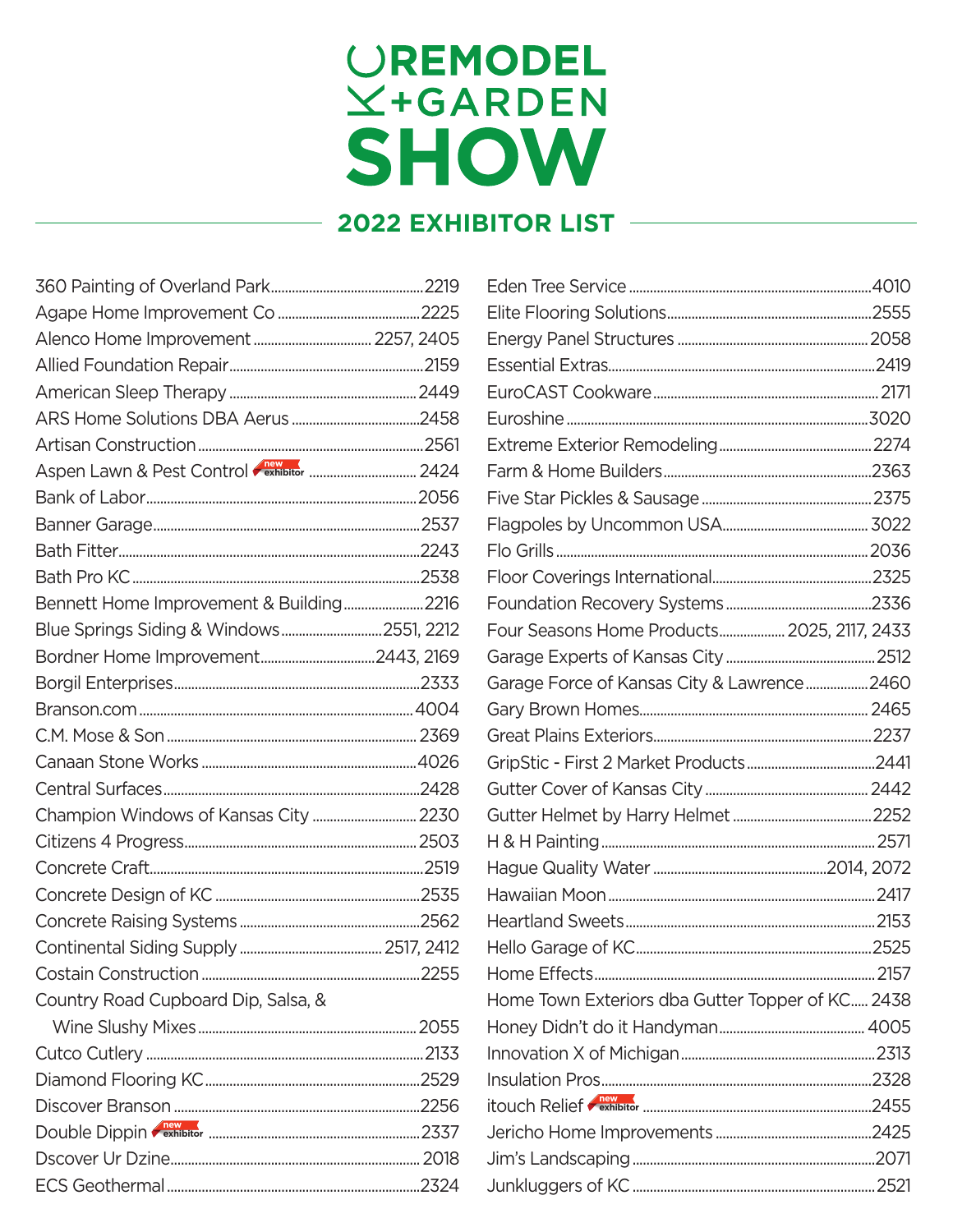## UREMODEL<br> *<u>X</u>+GARDEN* **SHOW**

## **2022 EXHIBITOR LIST**

| Bennett Home Improvement & Building2216  |  |
|------------------------------------------|--|
| Blue Springs Siding & Windows 2551, 2212 |  |
|                                          |  |
|                                          |  |
|                                          |  |
|                                          |  |
|                                          |  |
|                                          |  |
| Champion Windows of Kansas City  2230    |  |
|                                          |  |
|                                          |  |
|                                          |  |
|                                          |  |
|                                          |  |
|                                          |  |
| Country Road Cupboard Dip, Salsa, &      |  |
|                                          |  |
|                                          |  |
|                                          |  |
|                                          |  |
|                                          |  |
|                                          |  |
|                                          |  |

| Four Seasons Home Products 2025, 2117, 2433      |  |
|--------------------------------------------------|--|
|                                                  |  |
| Garage Force of Kansas City & Lawrence 2460      |  |
|                                                  |  |
|                                                  |  |
|                                                  |  |
|                                                  |  |
|                                                  |  |
|                                                  |  |
|                                                  |  |
|                                                  |  |
|                                                  |  |
|                                                  |  |
|                                                  |  |
| Home Town Exteriors dba Gutter Topper of KC 2438 |  |
|                                                  |  |
|                                                  |  |
|                                                  |  |
|                                                  |  |
|                                                  |  |
|                                                  |  |
|                                                  |  |